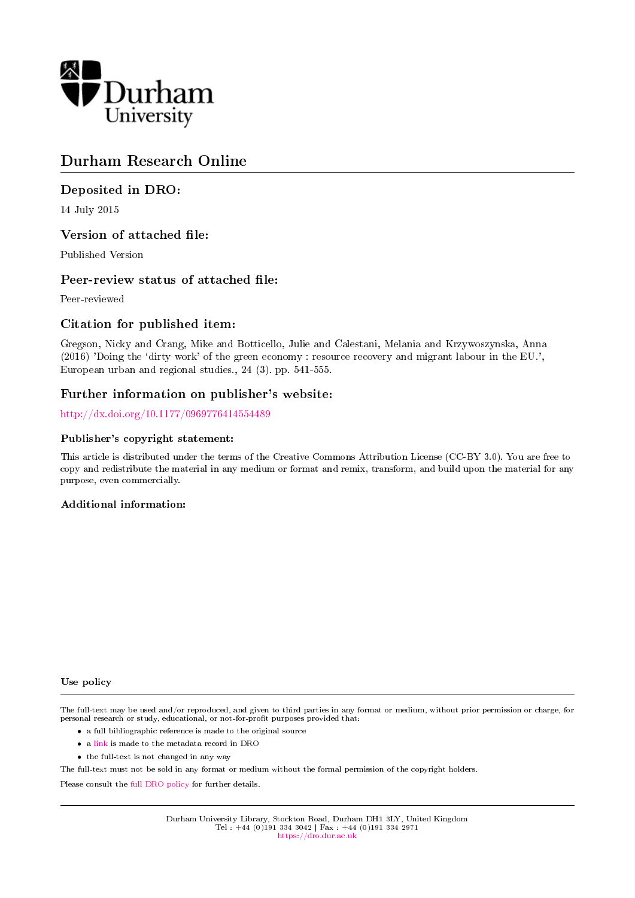

# Durham Research Online

# Deposited in DRO:

14 July 2015

# Version of attached file:

Published Version

# Peer-review status of attached file:

Peer-reviewed

# Citation for published item:

Gregson, Nicky and Crang, Mike and Botticello, Julie and Calestani, Melania and Krzywoszynska, Anna (2016) 'Doing the `dirty work' of the green economy : resource recovery and migrant labour in the EU.', European urban and regional studies., 24 (3). pp. 541-555.

# Further information on publisher's website:

<http://dx.doi.org/10.1177/0969776414554489>

## Publisher's copyright statement:

This article is distributed under the terms of the Creative Commons Attribution License (CC-BY 3.0). You are free to copy and redistribute the material in any medium or format and remix, transform, and build upon the material for any purpose, even commercially.

## Additional information:

### Use policy

The full-text may be used and/or reproduced, and given to third parties in any format or medium, without prior permission or charge, for personal research or study, educational, or not-for-profit purposes provided that:

- a full bibliographic reference is made to the original source
- a [link](http://dro.dur.ac.uk/13688/) is made to the metadata record in DRO
- the full-text is not changed in any way

The full-text must not be sold in any format or medium without the formal permission of the copyright holders.

Please consult the [full DRO policy](https://dro.dur.ac.uk/policies/usepolicy.pdf) for further details.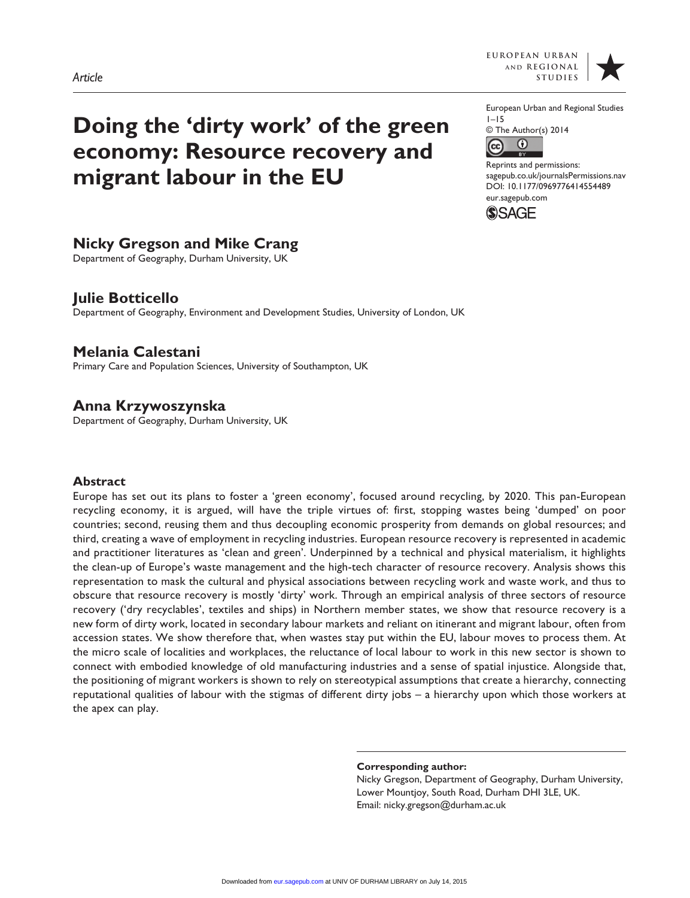

European Urban and Regional Studies 1–15

© The Author(s) 2014



Reprints and permissions: sagepub.co.uk/journalsPermissions.nav DOI: 10.1177/0969776414554489 eur.sagepub.com



## **Nicky Gregson and Mike Crang**

**migrant labour in the EU**

Department of Geography, Durham University, UK

## **Julie Botticello**

Department of Geography, Environment and Development Studies, University of London, UK

**Doing the 'dirty work' of the green** 

**economy: Resource recovery and** 

## **Melania Calestani**

Primary Care and Population Sciences, University of Southampton, UK

# **Anna Krzywoszynska**

Department of Geography, Durham University, UK

### **Abstract**

Europe has set out its plans to foster a 'green economy', focused around recycling, by 2020. This pan-European recycling economy, it is argued, will have the triple virtues of: first, stopping wastes being 'dumped' on poor countries; second, reusing them and thus decoupling economic prosperity from demands on global resources; and third, creating a wave of employment in recycling industries. European resource recovery is represented in academic and practitioner literatures as 'clean and green'. Underpinned by a technical and physical materialism, it highlights the clean-up of Europe's waste management and the high-tech character of resource recovery. Analysis shows this representation to mask the cultural and physical associations between recycling work and waste work, and thus to obscure that resource recovery is mostly 'dirty' work. Through an empirical analysis of three sectors of resource recovery ('dry recyclables', textiles and ships) in Northern member states, we show that resource recovery is a new form of dirty work, located in secondary labour markets and reliant on itinerant and migrant labour, often from accession states. We show therefore that, when wastes stay put within the EU, labour moves to process them. At the micro scale of localities and workplaces, the reluctance of local labour to work in this new sector is shown to connect with embodied knowledge of old manufacturing industries and a sense of spatial injustice. Alongside that, the positioning of migrant workers is shown to rely on stereotypical assumptions that create a hierarchy, connecting reputational qualities of labour with the stigmas of different dirty jobs – a hierarchy upon which those workers at the apex can play.

#### **Corresponding author:**

Nicky Gregson, Department of Geography, Durham University, Lower Mountjoy, South Road, Durham DHI 3LE, UK. Email: nicky.gregson@durham.ac.uk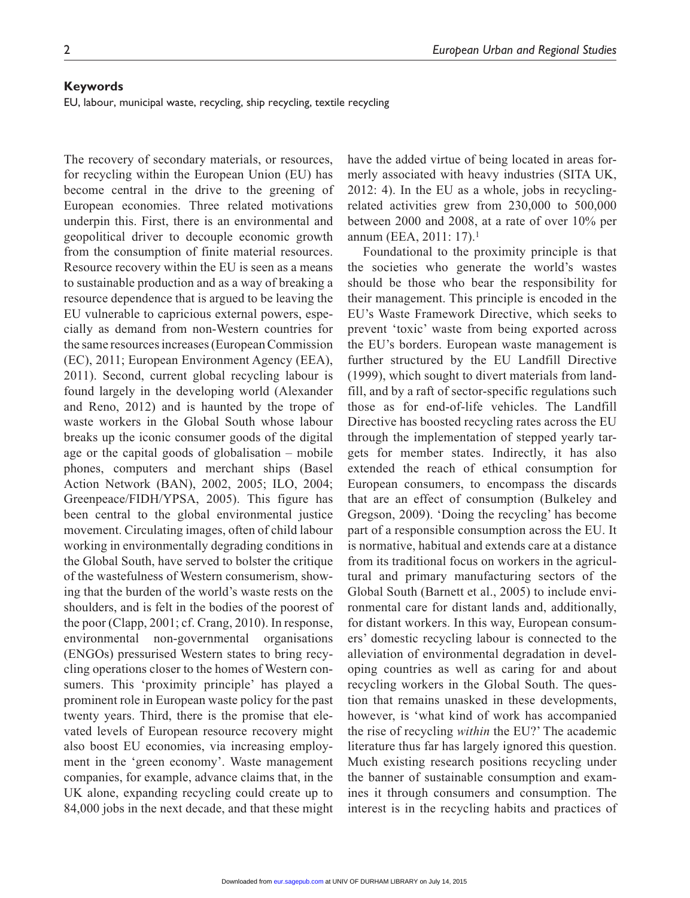#### **Keywords**

EU, labour, municipal waste, recycling, ship recycling, textile recycling

The recovery of secondary materials, or resources, for recycling within the European Union (EU) has become central in the drive to the greening of European economies. Three related motivations underpin this. First, there is an environmental and geopolitical driver to decouple economic growth from the consumption of finite material resources. Resource recovery within the EU is seen as a means to sustainable production and as a way of breaking a resource dependence that is argued to be leaving the EU vulnerable to capricious external powers, especially as demand from non-Western countries for the same resources increases (European Commission (EC), 2011; European Environment Agency (EEA), 2011). Second, current global recycling labour is found largely in the developing world (Alexander and Reno, 2012) and is haunted by the trope of waste workers in the Global South whose labour breaks up the iconic consumer goods of the digital age or the capital goods of globalisation – mobile phones, computers and merchant ships (Basel Action Network (BAN), 2002, 2005; ILO, 2004; Greenpeace/FIDH/YPSA, 2005). This figure has been central to the global environmental justice movement. Circulating images, often of child labour working in environmentally degrading conditions in the Global South, have served to bolster the critique of the wastefulness of Western consumerism, showing that the burden of the world's waste rests on the shoulders, and is felt in the bodies of the poorest of the poor (Clapp, 2001; cf. Crang, 2010). In response, environmental non-governmental organisations (ENGOs) pressurised Western states to bring recycling operations closer to the homes of Western consumers. This 'proximity principle' has played a prominent role in European waste policy for the past twenty years. Third, there is the promise that elevated levels of European resource recovery might also boost EU economies, via increasing employment in the 'green economy'. Waste management companies, for example, advance claims that, in the UK alone, expanding recycling could create up to 84,000 jobs in the next decade, and that these might

have the added virtue of being located in areas formerly associated with heavy industries (SITA UK, 2012: 4). In the EU as a whole, jobs in recyclingrelated activities grew from 230,000 to 500,000 between 2000 and 2008, at a rate of over 10% per annum (EEA, 2011: 17).1

Foundational to the proximity principle is that the societies who generate the world's wastes should be those who bear the responsibility for their management. This principle is encoded in the EU's Waste Framework Directive, which seeks to prevent 'toxic' waste from being exported across the EU's borders. European waste management is further structured by the EU Landfill Directive (1999), which sought to divert materials from landfill, and by a raft of sector-specific regulations such those as for end-of-life vehicles. The Landfill Directive has boosted recycling rates across the EU through the implementation of stepped yearly targets for member states. Indirectly, it has also extended the reach of ethical consumption for European consumers, to encompass the discards that are an effect of consumption (Bulkeley and Gregson, 2009). 'Doing the recycling' has become part of a responsible consumption across the EU. It is normative, habitual and extends care at a distance from its traditional focus on workers in the agricultural and primary manufacturing sectors of the Global South (Barnett et al., 2005) to include environmental care for distant lands and, additionally, for distant workers. In this way, European consumers' domestic recycling labour is connected to the alleviation of environmental degradation in developing countries as well as caring for and about recycling workers in the Global South. The question that remains unasked in these developments, however, is 'what kind of work has accompanied the rise of recycling *within* the EU?' The academic literature thus far has largely ignored this question. Much existing research positions recycling under the banner of sustainable consumption and examines it through consumers and consumption. The interest is in the recycling habits and practices of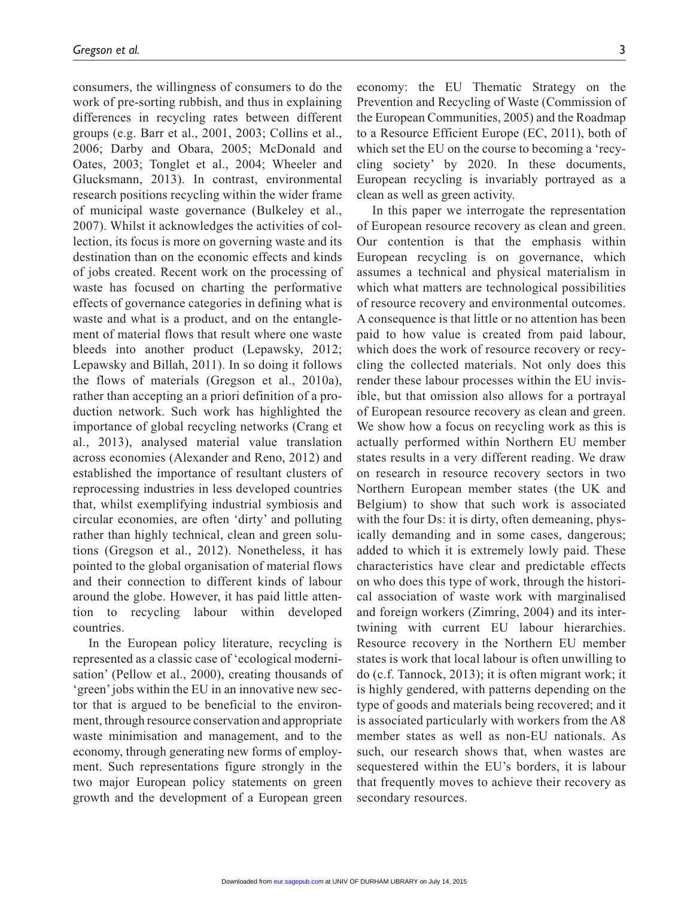consumers, the willingness of consumers to do the work of pre-sorting rubbish, and thus in explaining differences in recycling rates between different groups (e.g. Barr et al., 2001, 2003; Collins et al., 2006; Darby and Obara, 2005; McDonald and Oates, 2003; Tonglet et al., 2004; Wheeler and Glucksmann, 2013). In contrast, environmental research positions recycling within the wider frame of municipal waste governance (Bulkeley et al., 2007). Whilst it acknowledges the activities of collection, its focus is more on governing waste and its destination than on the economic effects and kinds of jobs created. Recent work on the processing of waste has focused on charting the performative effects of governance categories in defining what is waste and what is a product, and on the entanglement of material flows that result where one waste bleeds into another product (Lepawsky, 2012; Lepawsky and Billah, 2011). In so doing it follows the flows of materials (Gregson et al., 2010a), rather than accepting an a priori definition of a production network. Such work has highlighted the importance of global recycling networks (Crang et al., 2013), analysed material value translation across economies (Alexander and Reno, 2012) and established the importance of resultant clusters of reprocessing industries in less developed countries that, whilst exemplifying industrial symbiosis and circular economies, are often 'dirty' and polluting rather than highly technical, clean and green solutions (Gregson et al., 2012). Nonetheless, it has pointed to the global organisation of material flows and their connection to different kinds of labour around the globe. However, it has paid little attention to recycling labour within developed countries.

In the European policy literature, recycling is represented as a classic case of 'ecological modernisation' (Pellow et al., 2000), creating thousands of 'green' jobs within the EU in an innovative new sector that is argued to be beneficial to the environment, through resource conservation and appropriate waste minimisation and management, and to the economy, through generating new forms of employment. Such representations figure strongly in the two major European policy statements on green growth and the development of a European green

economy: the EU Thematic Strategy on the Prevention and Recycling of Waste (Commission of the European Communities, 2005) and the Roadmap to a Resource Efficient Europe (EC, 2011), both of which set the EU on the course to becoming a 'recycling society' by 2020. In these documents, European recycling is invariably portrayed as a clean as well as green activity.

In this paper we interrogate the representation of European resource recovery as clean and green. Our contention is that the emphasis within European recycling is on governance, which assumes a technical and physical materialism in which what matters are technological possibilities of resource recovery and environmental outcomes. A consequence is that little or no attention has been paid to how value is created from paid labour, which does the work of resource recovery or recycling the collected materials. Not only does this render these labour processes within the EU invisible, but that omission also allows for a portrayal of European resource recovery as clean and green. We show how a focus on recycling work as this is actually performed within Northern EU member states results in a very different reading. We draw on research in resource recovery sectors in two Northern European member states (the UK and Belgium) to show that such work is associated with the four Ds: it is dirty, often demeaning, physically demanding and in some cases, dangerous; added to which it is extremely lowly paid. These characteristics have clear and predictable effects on who does this type of work, through the historical association of waste work with marginalised and foreign workers (Zimring, 2004) and its intertwining with current EU labour hierarchies. Resource recovery in the Northern EU member states is work that local labour is often unwilling to do (c.f. Tannock, 2013); it is often migrant work; it is highly gendered, with patterns depending on the type of goods and materials being recovered; and it is associated particularly with workers from the A8 member states as well as non-EU nationals. As such, our research shows that, when wastes are sequestered within the EU's borders, it is labour that frequently moves to achieve their recovery as secondary resources.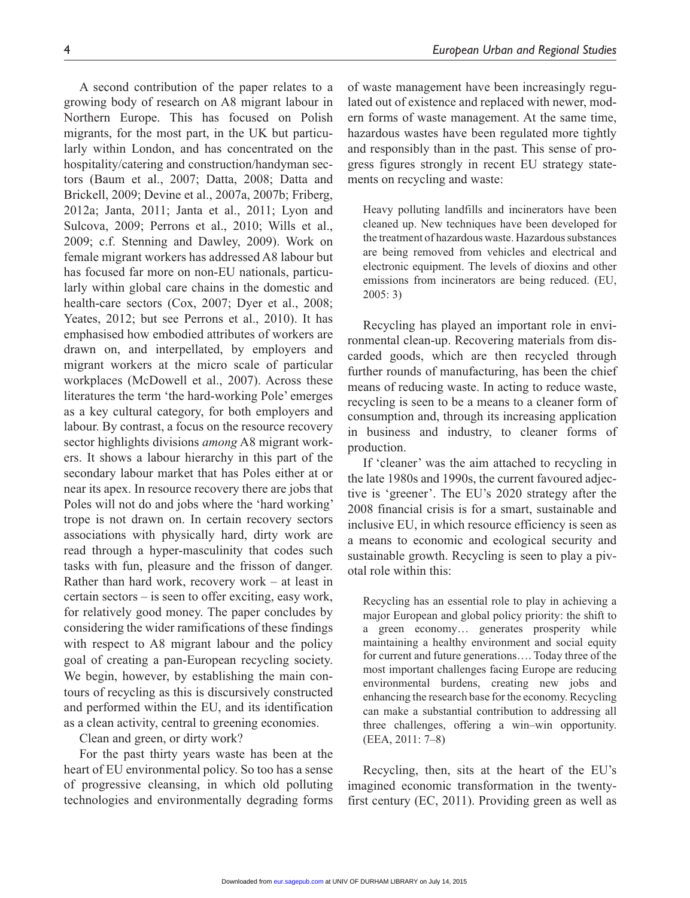A second contribution of the paper relates to a growing body of research on A8 migrant labour in Northern Europe. This has focused on Polish migrants, for the most part, in the UK but particularly within London, and has concentrated on the hospitality/catering and construction/handyman sectors (Baum et al., 2007; Datta, 2008; Datta and Brickell, 2009; Devine et al., 2007a, 2007b; Friberg, 2012a; Janta, 2011; Janta et al., 2011; Lyon and Sulcova, 2009; Perrons et al., 2010; Wills et al., 2009; c.f. Stenning and Dawley, 2009). Work on female migrant workers has addressed A8 labour but has focused far more on non-EU nationals, particularly within global care chains in the domestic and health-care sectors (Cox, 2007; Dyer et al., 2008; Yeates, 2012; but see Perrons et al., 2010). It has emphasised how embodied attributes of workers are drawn on, and interpellated, by employers and migrant workers at the micro scale of particular workplaces (McDowell et al., 2007). Across these literatures the term 'the hard-working Pole' emerges as a key cultural category, for both employers and labour. By contrast, a focus on the resource recovery sector highlights divisions *among* A8 migrant workers. It shows a labour hierarchy in this part of the secondary labour market that has Poles either at or near its apex. In resource recovery there are jobs that Poles will not do and jobs where the 'hard working' trope is not drawn on. In certain recovery sectors associations with physically hard, dirty work are read through a hyper-masculinity that codes such tasks with fun, pleasure and the frisson of danger. Rather than hard work, recovery work – at least in certain sectors – is seen to offer exciting, easy work, for relatively good money. The paper concludes by considering the wider ramifications of these findings with respect to A8 migrant labour and the policy goal of creating a pan-European recycling society. We begin, however, by establishing the main contours of recycling as this is discursively constructed and performed within the EU, and its identification as a clean activity, central to greening economies.

Clean and green, or dirty work?

For the past thirty years waste has been at the heart of EU environmental policy. So too has a sense of progressive cleansing, in which old polluting technologies and environmentally degrading forms of waste management have been increasingly regulated out of existence and replaced with newer, modern forms of waste management. At the same time, hazardous wastes have been regulated more tightly and responsibly than in the past. This sense of progress figures strongly in recent EU strategy statements on recycling and waste:

Heavy polluting landfills and incinerators have been cleaned up. New techniques have been developed for the treatment of hazardous waste. Hazardous substances are being removed from vehicles and electrical and electronic equipment. The levels of dioxins and other emissions from incinerators are being reduced. (EU, 2005: 3)

Recycling has played an important role in environmental clean-up. Recovering materials from discarded goods, which are then recycled through further rounds of manufacturing, has been the chief means of reducing waste. In acting to reduce waste, recycling is seen to be a means to a cleaner form of consumption and, through its increasing application in business and industry, to cleaner forms of production.

If 'cleaner' was the aim attached to recycling in the late 1980s and 1990s, the current favoured adjective is 'greener'. The EU's 2020 strategy after the 2008 financial crisis is for a smart, sustainable and inclusive EU, in which resource efficiency is seen as a means to economic and ecological security and sustainable growth. Recycling is seen to play a pivotal role within this:

Recycling has an essential role to play in achieving a major European and global policy priority: the shift to a green economy… generates prosperity while maintaining a healthy environment and social equity for current and future generations…. Today three of the most important challenges facing Europe are reducing environmental burdens, creating new jobs and enhancing the research base for the economy. Recycling can make a substantial contribution to addressing all three challenges, offering a win–win opportunity. (EEA, 2011: 7–8)

Recycling, then, sits at the heart of the EU's imagined economic transformation in the twentyfirst century (EC, 2011). Providing green as well as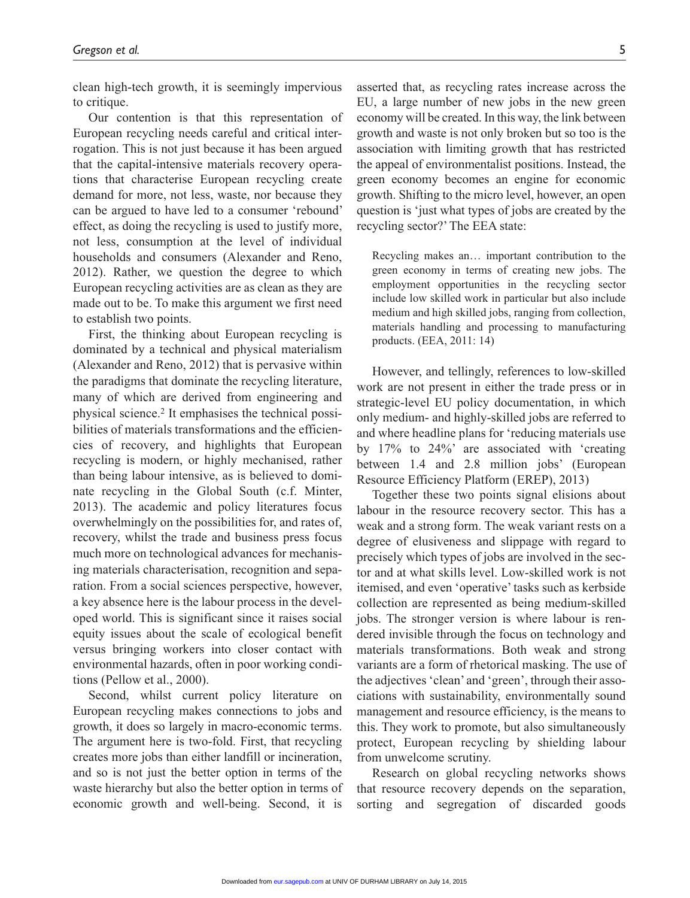clean high-tech growth, it is seemingly impervious to critique.

Our contention is that this representation of European recycling needs careful and critical interrogation. This is not just because it has been argued that the capital-intensive materials recovery operations that characterise European recycling create demand for more, not less, waste, nor because they can be argued to have led to a consumer 'rebound' effect, as doing the recycling is used to justify more, not less, consumption at the level of individual households and consumers (Alexander and Reno, 2012). Rather, we question the degree to which European recycling activities are as clean as they are made out to be. To make this argument we first need to establish two points.

First, the thinking about European recycling is dominated by a technical and physical materialism (Alexander and Reno, 2012) that is pervasive within the paradigms that dominate the recycling literature, many of which are derived from engineering and physical science.2 It emphasises the technical possibilities of materials transformations and the efficiencies of recovery, and highlights that European recycling is modern, or highly mechanised, rather than being labour intensive, as is believed to dominate recycling in the Global South (c.f. Minter, 2013). The academic and policy literatures focus overwhelmingly on the possibilities for, and rates of, recovery, whilst the trade and business press focus much more on technological advances for mechanising materials characterisation, recognition and separation. From a social sciences perspective, however, a key absence here is the labour process in the developed world. This is significant since it raises social equity issues about the scale of ecological benefit versus bringing workers into closer contact with environmental hazards, often in poor working conditions (Pellow et al., 2000).

Second, whilst current policy literature on European recycling makes connections to jobs and growth, it does so largely in macro-economic terms. The argument here is two-fold. First, that recycling creates more jobs than either landfill or incineration, and so is not just the better option in terms of the waste hierarchy but also the better option in terms of economic growth and well-being. Second, it is

asserted that, as recycling rates increase across the EU, a large number of new jobs in the new green economy will be created. In this way, the link between growth and waste is not only broken but so too is the association with limiting growth that has restricted the appeal of environmentalist positions. Instead, the green economy becomes an engine for economic growth. Shifting to the micro level, however, an open question is 'just what types of jobs are created by the recycling sector?' The EEA state:

Recycling makes an… important contribution to the green economy in terms of creating new jobs. The employment opportunities in the recycling sector include low skilled work in particular but also include medium and high skilled jobs, ranging from collection, materials handling and processing to manufacturing products. (EEA, 2011: 14)

However, and tellingly, references to low-skilled work are not present in either the trade press or in strategic-level EU policy documentation, in which only medium- and highly-skilled jobs are referred to and where headline plans for 'reducing materials use by 17% to 24%' are associated with 'creating between 1.4 and 2.8 million jobs' (European Resource Efficiency Platform (EREP), 2013)

Together these two points signal elisions about labour in the resource recovery sector. This has a weak and a strong form. The weak variant rests on a degree of elusiveness and slippage with regard to precisely which types of jobs are involved in the sector and at what skills level. Low-skilled work is not itemised, and even 'operative' tasks such as kerbside collection are represented as being medium-skilled jobs. The stronger version is where labour is rendered invisible through the focus on technology and materials transformations. Both weak and strong variants are a form of rhetorical masking. The use of the adjectives 'clean' and 'green', through their associations with sustainability, environmentally sound management and resource efficiency, is the means to this. They work to promote, but also simultaneously protect, European recycling by shielding labour from unwelcome scrutiny.

Research on global recycling networks shows that resource recovery depends on the separation, sorting and segregation of discarded goods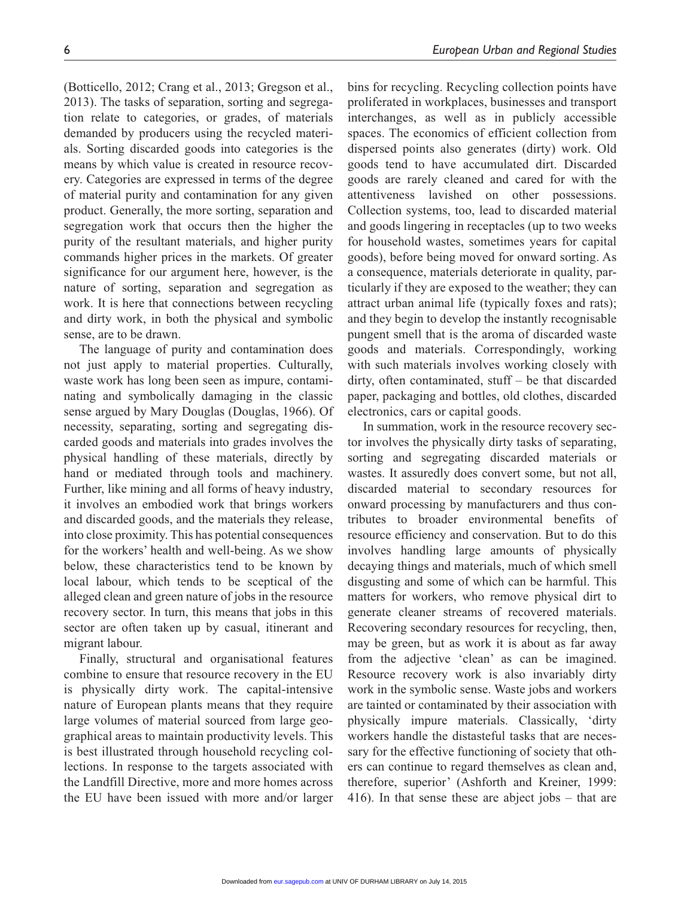(Botticello, 2012; Crang et al., 2013; Gregson et al., 2013). The tasks of separation, sorting and segregation relate to categories, or grades, of materials demanded by producers using the recycled materials. Sorting discarded goods into categories is the means by which value is created in resource recovery. Categories are expressed in terms of the degree of material purity and contamination for any given product. Generally, the more sorting, separation and segregation work that occurs then the higher the purity of the resultant materials, and higher purity commands higher prices in the markets. Of greater significance for our argument here, however, is the nature of sorting, separation and segregation as work. It is here that connections between recycling and dirty work, in both the physical and symbolic sense, are to be drawn.

The language of purity and contamination does not just apply to material properties. Culturally, waste work has long been seen as impure, contaminating and symbolically damaging in the classic sense argued by Mary Douglas (Douglas, 1966). Of necessity, separating, sorting and segregating discarded goods and materials into grades involves the physical handling of these materials, directly by hand or mediated through tools and machinery. Further, like mining and all forms of heavy industry, it involves an embodied work that brings workers and discarded goods, and the materials they release, into close proximity. This has potential consequences for the workers' health and well-being. As we show below, these characteristics tend to be known by local labour, which tends to be sceptical of the alleged clean and green nature of jobs in the resource recovery sector. In turn, this means that jobs in this sector are often taken up by casual, itinerant and migrant labour.

Finally, structural and organisational features combine to ensure that resource recovery in the EU is physically dirty work. The capital-intensive nature of European plants means that they require large volumes of material sourced from large geographical areas to maintain productivity levels. This is best illustrated through household recycling collections. In response to the targets associated with the Landfill Directive, more and more homes across the EU have been issued with more and/or larger

bins for recycling. Recycling collection points have proliferated in workplaces, businesses and transport interchanges, as well as in publicly accessible spaces. The economics of efficient collection from dispersed points also generates (dirty) work. Old goods tend to have accumulated dirt. Discarded goods are rarely cleaned and cared for with the attentiveness lavished on other possessions. Collection systems, too, lead to discarded material and goods lingering in receptacles (up to two weeks for household wastes, sometimes years for capital goods), before being moved for onward sorting. As a consequence, materials deteriorate in quality, particularly if they are exposed to the weather; they can attract urban animal life (typically foxes and rats); and they begin to develop the instantly recognisable pungent smell that is the aroma of discarded waste goods and materials. Correspondingly, working with such materials involves working closely with dirty, often contaminated, stuff – be that discarded paper, packaging and bottles, old clothes, discarded electronics, cars or capital goods.

In summation, work in the resource recovery sector involves the physically dirty tasks of separating, sorting and segregating discarded materials or wastes. It assuredly does convert some, but not all, discarded material to secondary resources for onward processing by manufacturers and thus contributes to broader environmental benefits of resource efficiency and conservation. But to do this involves handling large amounts of physically decaying things and materials, much of which smell disgusting and some of which can be harmful. This matters for workers, who remove physical dirt to generate cleaner streams of recovered materials. Recovering secondary resources for recycling, then, may be green, but as work it is about as far away from the adjective 'clean' as can be imagined. Resource recovery work is also invariably dirty work in the symbolic sense. Waste jobs and workers are tainted or contaminated by their association with physically impure materials. Classically, 'dirty workers handle the distasteful tasks that are necessary for the effective functioning of society that others can continue to regard themselves as clean and, therefore, superior' (Ashforth and Kreiner, 1999: 416). In that sense these are abject jobs – that are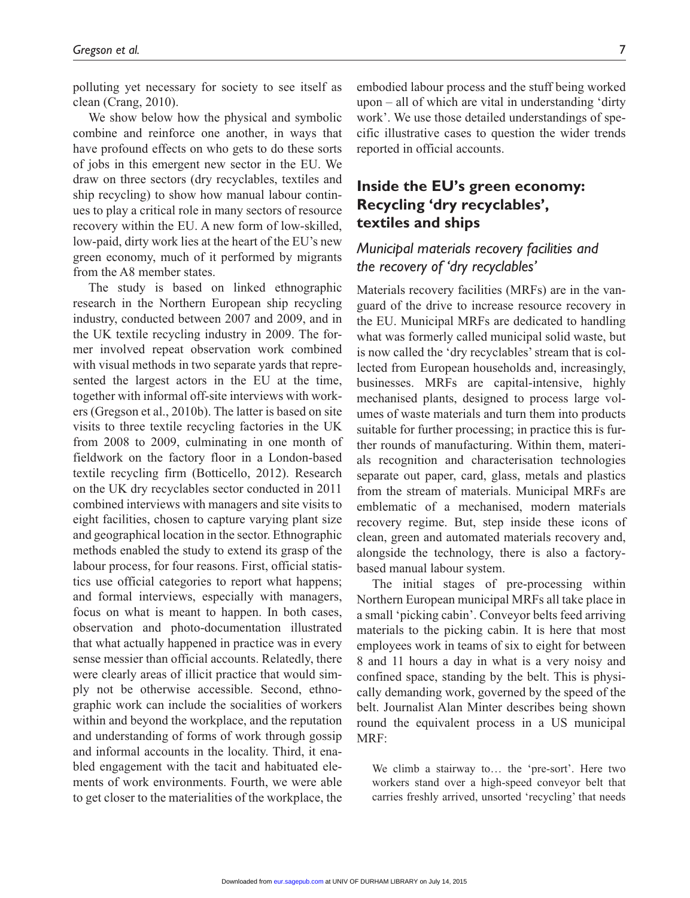polluting yet necessary for society to see itself as clean (Crang, 2010).

We show below how the physical and symbolic combine and reinforce one another, in ways that have profound effects on who gets to do these sorts of jobs in this emergent new sector in the EU. We draw on three sectors (dry recyclables, textiles and ship recycling) to show how manual labour continues to play a critical role in many sectors of resource recovery within the EU. A new form of low-skilled, low-paid, dirty work lies at the heart of the EU's new green economy, much of it performed by migrants from the A8 member states.

The study is based on linked ethnographic research in the Northern European ship recycling industry, conducted between 2007 and 2009, and in the UK textile recycling industry in 2009. The former involved repeat observation work combined with visual methods in two separate yards that represented the largest actors in the EU at the time, together with informal off-site interviews with workers (Gregson et al., 2010b). The latter is based on site visits to three textile recycling factories in the UK from 2008 to 2009, culminating in one month of fieldwork on the factory floor in a London-based textile recycling firm (Botticello, 2012). Research on the UK dry recyclables sector conducted in 2011 combined interviews with managers and site visits to eight facilities, chosen to capture varying plant size and geographical location in the sector. Ethnographic methods enabled the study to extend its grasp of the labour process, for four reasons. First, official statistics use official categories to report what happens; and formal interviews, especially with managers, focus on what is meant to happen. In both cases, observation and photo-documentation illustrated that what actually happened in practice was in every sense messier than official accounts. Relatedly, there were clearly areas of illicit practice that would simply not be otherwise accessible. Second, ethnographic work can include the socialities of workers within and beyond the workplace, and the reputation and understanding of forms of work through gossip and informal accounts in the locality. Third, it enabled engagement with the tacit and habituated elements of work environments. Fourth, we were able to get closer to the materialities of the workplace, the

embodied labour process and the stuff being worked upon – all of which are vital in understanding 'dirty work'. We use those detailed understandings of specific illustrative cases to question the wider trends reported in official accounts.

# **Inside the EU's green economy: Recycling 'dry recyclables', textiles and ships**

# *Municipal materials recovery facilities and the recovery of 'dry recyclables'*

Materials recovery facilities (MRFs) are in the vanguard of the drive to increase resource recovery in the EU. Municipal MRFs are dedicated to handling what was formerly called municipal solid waste, but is now called the 'dry recyclables' stream that is collected from European households and, increasingly, businesses. MRFs are capital-intensive, highly mechanised plants, designed to process large volumes of waste materials and turn them into products suitable for further processing; in practice this is further rounds of manufacturing. Within them, materials recognition and characterisation technologies separate out paper, card, glass, metals and plastics from the stream of materials. Municipal MRFs are emblematic of a mechanised, modern materials recovery regime. But, step inside these icons of clean, green and automated materials recovery and, alongside the technology, there is also a factorybased manual labour system.

The initial stages of pre-processing within Northern European municipal MRFs all take place in a small 'picking cabin'. Conveyor belts feed arriving materials to the picking cabin. It is here that most employees work in teams of six to eight for between 8 and 11 hours a day in what is a very noisy and confined space, standing by the belt. This is physically demanding work, governed by the speed of the belt. Journalist Alan Minter describes being shown round the equivalent process in a US municipal MRF:

We climb a stairway to… the 'pre-sort'. Here two workers stand over a high-speed conveyor belt that carries freshly arrived, unsorted 'recycling' that needs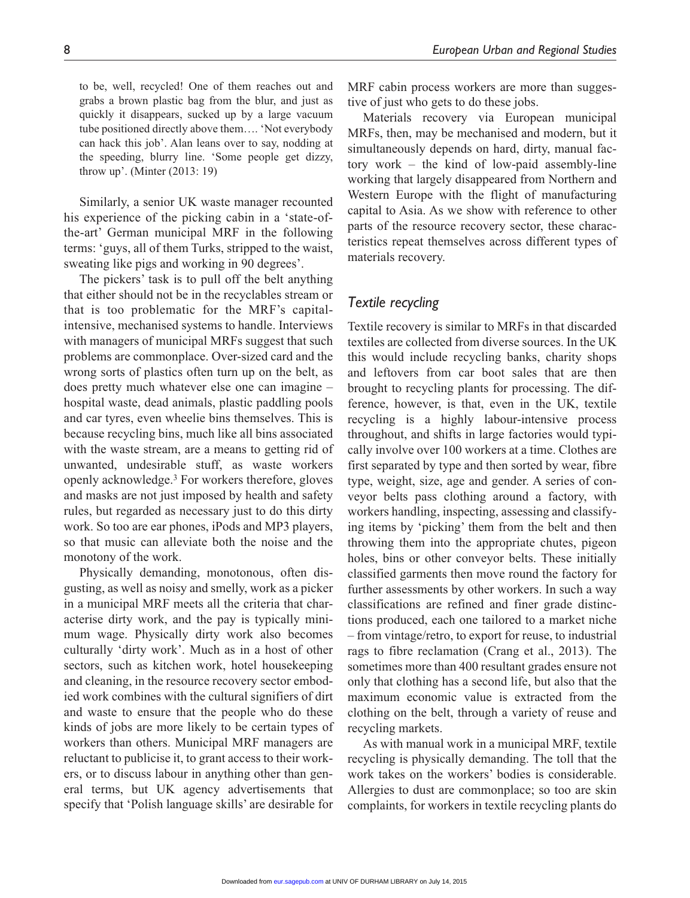to be, well, recycled! One of them reaches out and grabs a brown plastic bag from the blur, and just as quickly it disappears, sucked up by a large vacuum tube positioned directly above them…. 'Not everybody can hack this job'. Alan leans over to say, nodding at the speeding, blurry line. 'Some people get dizzy, throw up'. (Minter (2013: 19)

Similarly, a senior UK waste manager recounted his experience of the picking cabin in a 'state-ofthe-art' German municipal MRF in the following terms: 'guys, all of them Turks, stripped to the waist, sweating like pigs and working in 90 degrees'.

The pickers' task is to pull off the belt anything that either should not be in the recyclables stream or that is too problematic for the MRF's capitalintensive, mechanised systems to handle. Interviews with managers of municipal MRFs suggest that such problems are commonplace. Over-sized card and the wrong sorts of plastics often turn up on the belt, as does pretty much whatever else one can imagine – hospital waste, dead animals, plastic paddling pools and car tyres, even wheelie bins themselves. This is because recycling bins, much like all bins associated with the waste stream, are a means to getting rid of unwanted, undesirable stuff, as waste workers openly acknowledge.3 For workers therefore, gloves and masks are not just imposed by health and safety rules, but regarded as necessary just to do this dirty work. So too are ear phones, iPods and MP3 players, so that music can alleviate both the noise and the monotony of the work.

Physically demanding, monotonous, often disgusting, as well as noisy and smelly, work as a picker in a municipal MRF meets all the criteria that characterise dirty work, and the pay is typically minimum wage. Physically dirty work also becomes culturally 'dirty work'. Much as in a host of other sectors, such as kitchen work, hotel housekeeping and cleaning, in the resource recovery sector embodied work combines with the cultural signifiers of dirt and waste to ensure that the people who do these kinds of jobs are more likely to be certain types of workers than others. Municipal MRF managers are reluctant to publicise it, to grant access to their workers, or to discuss labour in anything other than general terms, but UK agency advertisements that specify that 'Polish language skills' are desirable for

MRF cabin process workers are more than suggestive of just who gets to do these jobs.

Materials recovery via European municipal MRFs, then, may be mechanised and modern, but it simultaneously depends on hard, dirty, manual factory work – the kind of low-paid assembly-line working that largely disappeared from Northern and Western Europe with the flight of manufacturing capital to Asia. As we show with reference to other parts of the resource recovery sector, these characteristics repeat themselves across different types of materials recovery.

### *Textile recycling*

Textile recovery is similar to MRFs in that discarded textiles are collected from diverse sources. In the UK this would include recycling banks, charity shops and leftovers from car boot sales that are then brought to recycling plants for processing. The difference, however, is that, even in the UK, textile recycling is a highly labour-intensive process throughout, and shifts in large factories would typically involve over 100 workers at a time. Clothes are first separated by type and then sorted by wear, fibre type, weight, size, age and gender. A series of conveyor belts pass clothing around a factory, with workers handling, inspecting, assessing and classifying items by 'picking' them from the belt and then throwing them into the appropriate chutes, pigeon holes, bins or other conveyor belts. These initially classified garments then move round the factory for further assessments by other workers. In such a way classifications are refined and finer grade distinctions produced, each one tailored to a market niche – from vintage/retro, to export for reuse, to industrial rags to fibre reclamation (Crang et al., 2013). The sometimes more than 400 resultant grades ensure not only that clothing has a second life, but also that the maximum economic value is extracted from the clothing on the belt, through a variety of reuse and recycling markets.

As with manual work in a municipal MRF, textile recycling is physically demanding. The toll that the work takes on the workers' bodies is considerable. Allergies to dust are commonplace; so too are skin complaints, for workers in textile recycling plants do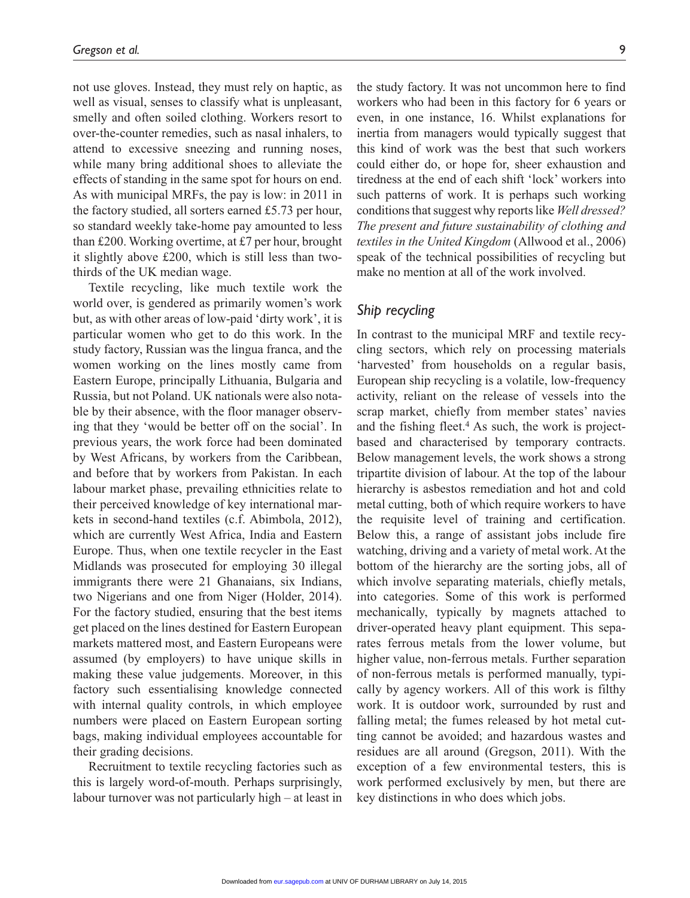not use gloves. Instead, they must rely on haptic, as well as visual, senses to classify what is unpleasant, smelly and often soiled clothing. Workers resort to over-the-counter remedies, such as nasal inhalers, to attend to excessive sneezing and running noses, while many bring additional shoes to alleviate the effects of standing in the same spot for hours on end. As with municipal MRFs, the pay is low: in 2011 in the factory studied, all sorters earned £5.73 per hour, so standard weekly take-home pay amounted to less than £200. Working overtime, at £7 per hour, brought it slightly above £200, which is still less than twothirds of the UK median wage.

Textile recycling, like much textile work the world over, is gendered as primarily women's work but, as with other areas of low-paid 'dirty work', it is particular women who get to do this work. In the study factory, Russian was the lingua franca, and the women working on the lines mostly came from Eastern Europe, principally Lithuania, Bulgaria and Russia, but not Poland. UK nationals were also notable by their absence, with the floor manager observing that they 'would be better off on the social'. In previous years, the work force had been dominated by West Africans, by workers from the Caribbean, and before that by workers from Pakistan. In each labour market phase, prevailing ethnicities relate to their perceived knowledge of key international markets in second-hand textiles (c.f. Abimbola, 2012), which are currently West Africa, India and Eastern Europe. Thus, when one textile recycler in the East Midlands was prosecuted for employing 30 illegal immigrants there were 21 Ghanaians, six Indians, two Nigerians and one from Niger (Holder, 2014). For the factory studied, ensuring that the best items get placed on the lines destined for Eastern European markets mattered most, and Eastern Europeans were assumed (by employers) to have unique skills in making these value judgements. Moreover, in this factory such essentialising knowledge connected with internal quality controls, in which employee numbers were placed on Eastern European sorting bags, making individual employees accountable for their grading decisions.

Recruitment to textile recycling factories such as this is largely word-of-mouth. Perhaps surprisingly, labour turnover was not particularly high – at least in the study factory. It was not uncommon here to find workers who had been in this factory for 6 years or even, in one instance, 16. Whilst explanations for inertia from managers would typically suggest that this kind of work was the best that such workers could either do, or hope for, sheer exhaustion and tiredness at the end of each shift 'lock' workers into such patterns of work. It is perhaps such working conditions that suggest why reports like *Well dressed? The present and future sustainability of clothing and textiles in the United Kingdom* (Allwood et al., 2006) speak of the technical possibilities of recycling but make no mention at all of the work involved.

## *Ship recycling*

In contrast to the municipal MRF and textile recycling sectors, which rely on processing materials 'harvested' from households on a regular basis, European ship recycling is a volatile, low-frequency activity, reliant on the release of vessels into the scrap market, chiefly from member states' navies and the fishing fleet.4 As such, the work is projectbased and characterised by temporary contracts. Below management levels, the work shows a strong tripartite division of labour. At the top of the labour hierarchy is asbestos remediation and hot and cold metal cutting, both of which require workers to have the requisite level of training and certification. Below this, a range of assistant jobs include fire watching, driving and a variety of metal work. At the bottom of the hierarchy are the sorting jobs, all of which involve separating materials, chiefly metals, into categories. Some of this work is performed mechanically, typically by magnets attached to driver-operated heavy plant equipment. This separates ferrous metals from the lower volume, but higher value, non-ferrous metals. Further separation of non-ferrous metals is performed manually, typically by agency workers. All of this work is filthy work. It is outdoor work, surrounded by rust and falling metal; the fumes released by hot metal cutting cannot be avoided; and hazardous wastes and residues are all around (Gregson, 2011). With the exception of a few environmental testers, this is work performed exclusively by men, but there are key distinctions in who does which jobs.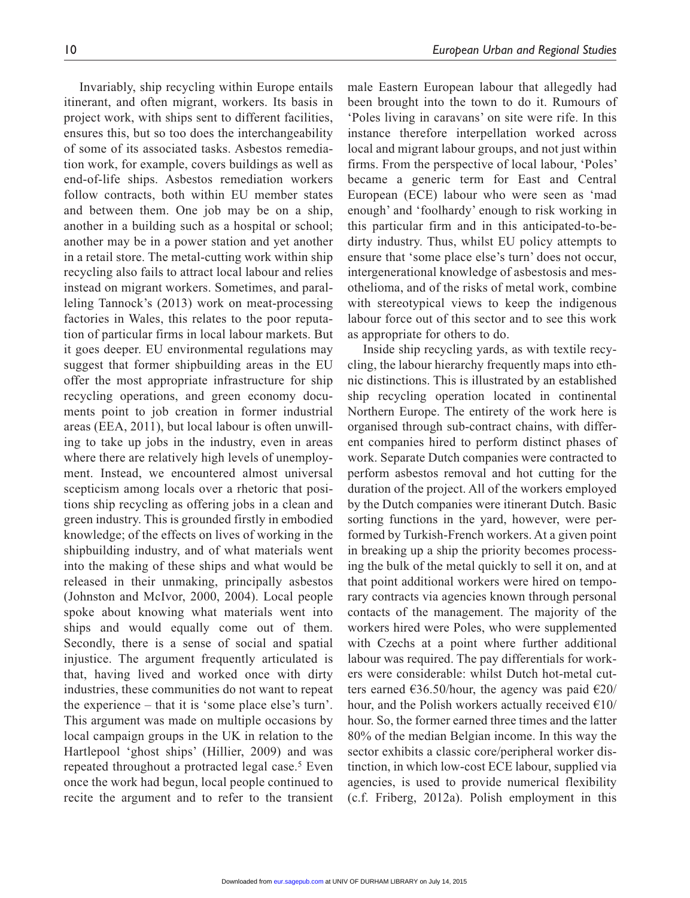Invariably, ship recycling within Europe entails itinerant, and often migrant, workers. Its basis in project work, with ships sent to different facilities, ensures this, but so too does the interchangeability of some of its associated tasks. Asbestos remediation work, for example, covers buildings as well as end-of-life ships. Asbestos remediation workers follow contracts, both within EU member states and between them. One job may be on a ship, another in a building such as a hospital or school; another may be in a power station and yet another in a retail store. The metal-cutting work within ship recycling also fails to attract local labour and relies instead on migrant workers. Sometimes, and paralleling Tannock's (2013) work on meat-processing factories in Wales, this relates to the poor reputation of particular firms in local labour markets. But it goes deeper. EU environmental regulations may suggest that former shipbuilding areas in the EU offer the most appropriate infrastructure for ship recycling operations, and green economy documents point to job creation in former industrial areas (EEA, 2011), but local labour is often unwilling to take up jobs in the industry, even in areas where there are relatively high levels of unemployment. Instead, we encountered almost universal scepticism among locals over a rhetoric that positions ship recycling as offering jobs in a clean and green industry. This is grounded firstly in embodied knowledge; of the effects on lives of working in the shipbuilding industry, and of what materials went into the making of these ships and what would be released in their unmaking, principally asbestos (Johnston and McIvor, 2000, 2004). Local people spoke about knowing what materials went into ships and would equally come out of them. Secondly, there is a sense of social and spatial injustice. The argument frequently articulated is that, having lived and worked once with dirty industries, these communities do not want to repeat the experience – that it is 'some place else's turn'. This argument was made on multiple occasions by local campaign groups in the UK in relation to the Hartlepool 'ghost ships' (Hillier, 2009) and was repeated throughout a protracted legal case.<sup>5</sup> Even once the work had begun, local people continued to recite the argument and to refer to the transient

male Eastern European labour that allegedly had been brought into the town to do it. Rumours of 'Poles living in caravans' on site were rife. In this instance therefore interpellation worked across local and migrant labour groups, and not just within firms. From the perspective of local labour, 'Poles' became a generic term for East and Central European (ECE) labour who were seen as 'mad enough' and 'foolhardy' enough to risk working in this particular firm and in this anticipated-to-bedirty industry. Thus, whilst EU policy attempts to ensure that 'some place else's turn' does not occur, intergenerational knowledge of asbestosis and mesothelioma, and of the risks of metal work, combine with stereotypical views to keep the indigenous labour force out of this sector and to see this work as appropriate for others to do.

Inside ship recycling yards, as with textile recycling, the labour hierarchy frequently maps into ethnic distinctions. This is illustrated by an established ship recycling operation located in continental Northern Europe. The entirety of the work here is organised through sub-contract chains, with different companies hired to perform distinct phases of work. Separate Dutch companies were contracted to perform asbestos removal and hot cutting for the duration of the project. All of the workers employed by the Dutch companies were itinerant Dutch. Basic sorting functions in the yard, however, were performed by Turkish-French workers. At a given point in breaking up a ship the priority becomes processing the bulk of the metal quickly to sell it on, and at that point additional workers were hired on temporary contracts via agencies known through personal contacts of the management. The majority of the workers hired were Poles, who were supplemented with Czechs at a point where further additional labour was required. The pay differentials for workers were considerable: whilst Dutch hot-metal cutters earned  $\epsilon$ 36.50/hour, the agency was paid  $\epsilon$ 20/ hour, and the Polish workers actually received  $\epsilon$ 10/ hour. So, the former earned three times and the latter 80% of the median Belgian income. In this way the sector exhibits a classic core/peripheral worker distinction, in which low-cost ECE labour, supplied via agencies, is used to provide numerical flexibility (c.f. Friberg, 2012a). Polish employment in this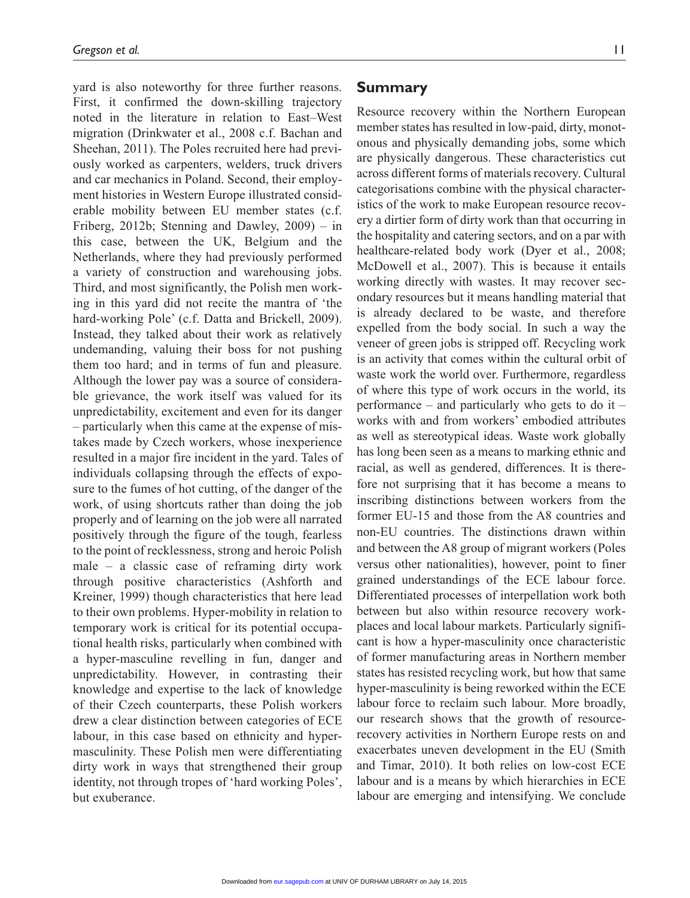yard is also noteworthy for three further reasons. First, it confirmed the down-skilling trajectory noted in the literature in relation to East–West migration (Drinkwater et al., 2008 c.f. Bachan and Sheehan, 2011). The Poles recruited here had previously worked as carpenters, welders, truck drivers and car mechanics in Poland. Second, their employment histories in Western Europe illustrated considerable mobility between EU member states (c.f. Friberg, 2012b; Stenning and Dawley, 2009) – in this case, between the UK, Belgium and the Netherlands, where they had previously performed a variety of construction and warehousing jobs. Third, and most significantly, the Polish men working in this yard did not recite the mantra of 'the hard-working Pole' (c.f. Datta and Brickell, 2009). Instead, they talked about their work as relatively undemanding, valuing their boss for not pushing them too hard; and in terms of fun and pleasure. Although the lower pay was a source of considerable grievance, the work itself was valued for its unpredictability, excitement and even for its danger – particularly when this came at the expense of mistakes made by Czech workers, whose inexperience resulted in a major fire incident in the yard. Tales of individuals collapsing through the effects of exposure to the fumes of hot cutting, of the danger of the work, of using shortcuts rather than doing the job properly and of learning on the job were all narrated positively through the figure of the tough, fearless to the point of recklessness, strong and heroic Polish male – a classic case of reframing dirty work through positive characteristics (Ashforth and Kreiner, 1999) though characteristics that here lead to their own problems. Hyper-mobility in relation to temporary work is critical for its potential occupational health risks, particularly when combined with a hyper-masculine revelling in fun, danger and unpredictability. However, in contrasting their knowledge and expertise to the lack of knowledge of their Czech counterparts, these Polish workers drew a clear distinction between categories of ECE labour, in this case based on ethnicity and hypermasculinity. These Polish men were differentiating dirty work in ways that strengthened their group identity, not through tropes of 'hard working Poles', but exuberance.

### **Summary**

Resource recovery within the Northern European member states has resulted in low-paid, dirty, monotonous and physically demanding jobs, some which are physically dangerous. These characteristics cut across different forms of materials recovery. Cultural categorisations combine with the physical characteristics of the work to make European resource recovery a dirtier form of dirty work than that occurring in the hospitality and catering sectors, and on a par with healthcare-related body work (Dyer et al., 2008; McDowell et al., 2007). This is because it entails working directly with wastes. It may recover secondary resources but it means handling material that is already declared to be waste, and therefore expelled from the body social. In such a way the veneer of green jobs is stripped off. Recycling work is an activity that comes within the cultural orbit of waste work the world over. Furthermore, regardless of where this type of work occurs in the world, its performance – and particularly who gets to do it – works with and from workers' embodied attributes as well as stereotypical ideas. Waste work globally has long been seen as a means to marking ethnic and racial, as well as gendered, differences. It is therefore not surprising that it has become a means to inscribing distinctions between workers from the former EU-15 and those from the A8 countries and non-EU countries. The distinctions drawn within and between the A8 group of migrant workers (Poles versus other nationalities), however, point to finer grained understandings of the ECE labour force. Differentiated processes of interpellation work both between but also within resource recovery workplaces and local labour markets. Particularly significant is how a hyper-masculinity once characteristic of former manufacturing areas in Northern member states has resisted recycling work, but how that same hyper-masculinity is being reworked within the ECE labour force to reclaim such labour. More broadly, our research shows that the growth of resourcerecovery activities in Northern Europe rests on and exacerbates uneven development in the EU (Smith and Timar, 2010). It both relies on low-cost ECE labour and is a means by which hierarchies in ECE labour are emerging and intensifying. We conclude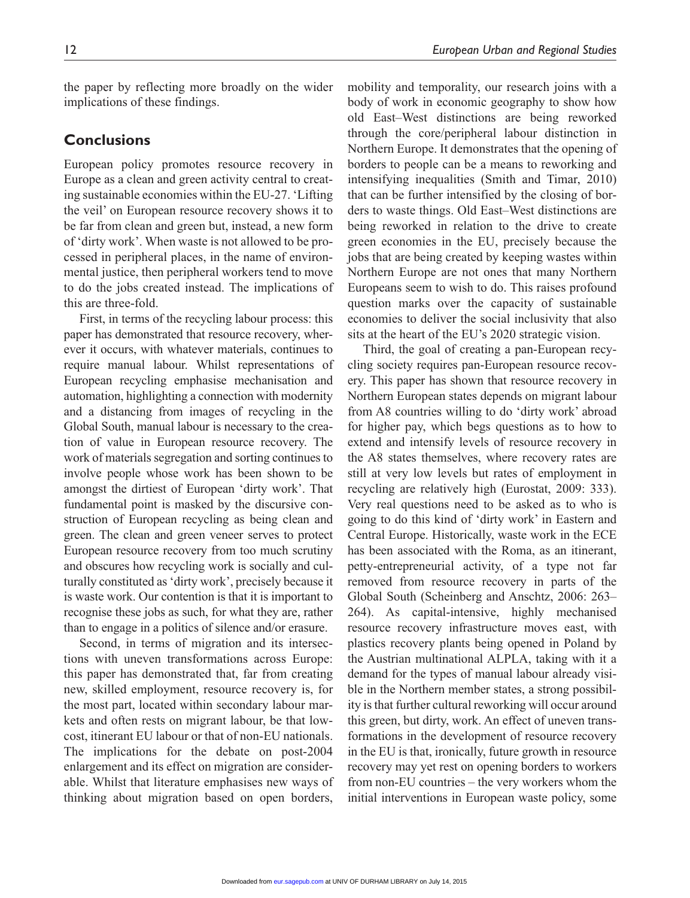the paper by reflecting more broadly on the wider implications of these findings.

## **Conclusions**

European policy promotes resource recovery in Europe as a clean and green activity central to creating sustainable economies within the EU-27. 'Lifting the veil' on European resource recovery shows it to be far from clean and green but, instead, a new form of 'dirty work'. When waste is not allowed to be processed in peripheral places, in the name of environmental justice, then peripheral workers tend to move to do the jobs created instead. The implications of this are three-fold.

First, in terms of the recycling labour process: this paper has demonstrated that resource recovery, wherever it occurs, with whatever materials, continues to require manual labour. Whilst representations of European recycling emphasise mechanisation and automation, highlighting a connection with modernity and a distancing from images of recycling in the Global South, manual labour is necessary to the creation of value in European resource recovery. The work of materials segregation and sorting continues to involve people whose work has been shown to be amongst the dirtiest of European 'dirty work'. That fundamental point is masked by the discursive construction of European recycling as being clean and green. The clean and green veneer serves to protect European resource recovery from too much scrutiny and obscures how recycling work is socially and culturally constituted as 'dirty work', precisely because it is waste work. Our contention is that it is important to recognise these jobs as such, for what they are, rather than to engage in a politics of silence and/or erasure.

Second, in terms of migration and its intersections with uneven transformations across Europe: this paper has demonstrated that, far from creating new, skilled employment, resource recovery is, for the most part, located within secondary labour markets and often rests on migrant labour, be that lowcost, itinerant EU labour or that of non-EU nationals. The implications for the debate on post-2004 enlargement and its effect on migration are considerable. Whilst that literature emphasises new ways of thinking about migration based on open borders,

mobility and temporality, our research joins with a body of work in economic geography to show how old East–West distinctions are being reworked through the core/peripheral labour distinction in Northern Europe. It demonstrates that the opening of borders to people can be a means to reworking and intensifying inequalities (Smith and Timar, 2010) that can be further intensified by the closing of borders to waste things. Old East–West distinctions are being reworked in relation to the drive to create green economies in the EU, precisely because the jobs that are being created by keeping wastes within Northern Europe are not ones that many Northern Europeans seem to wish to do. This raises profound question marks over the capacity of sustainable economies to deliver the social inclusivity that also sits at the heart of the EU's 2020 strategic vision.

Third, the goal of creating a pan-European recycling society requires pan-European resource recovery. This paper has shown that resource recovery in Northern European states depends on migrant labour from A8 countries willing to do 'dirty work' abroad for higher pay, which begs questions as to how to extend and intensify levels of resource recovery in the A8 states themselves, where recovery rates are still at very low levels but rates of employment in recycling are relatively high (Eurostat, 2009: 333). Very real questions need to be asked as to who is going to do this kind of 'dirty work' in Eastern and Central Europe. Historically, waste work in the ECE has been associated with the Roma, as an itinerant, petty-entrepreneurial activity, of a type not far removed from resource recovery in parts of the Global South (Scheinberg and Anschtz, 2006: 263– 264). As capital-intensive, highly mechanised resource recovery infrastructure moves east, with plastics recovery plants being opened in Poland by the Austrian multinational ALPLA, taking with it a demand for the types of manual labour already visible in the Northern member states, a strong possibility is that further cultural reworking will occur around this green, but dirty, work. An effect of uneven transformations in the development of resource recovery in the EU is that, ironically, future growth in resource recovery may yet rest on opening borders to workers from non-EU countries – the very workers whom the initial interventions in European waste policy, some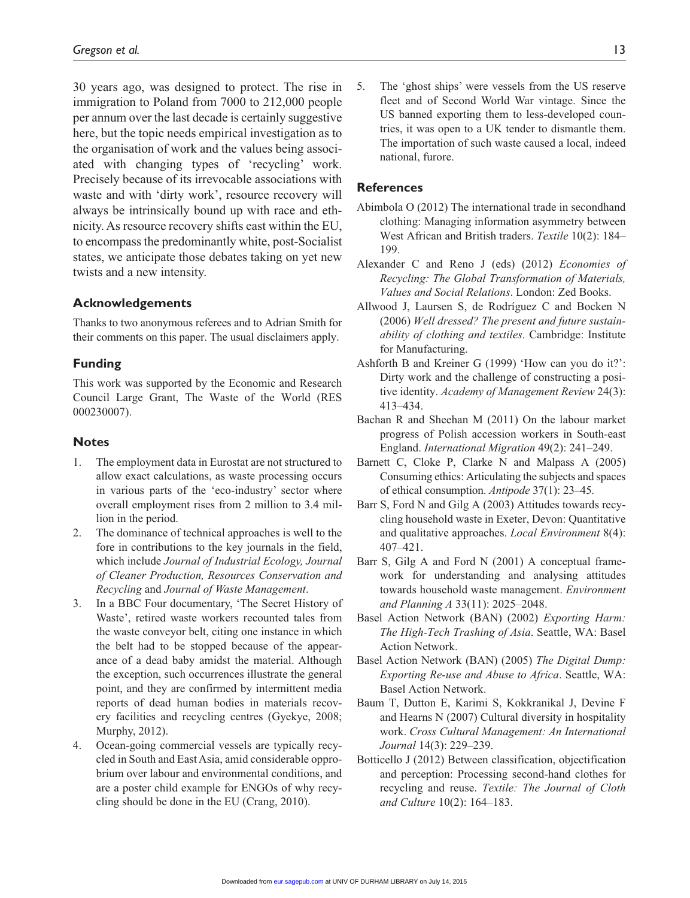30 years ago, was designed to protect. The rise in immigration to Poland from 7000 to 212,000 people per annum over the last decade is certainly suggestive here, but the topic needs empirical investigation as to the organisation of work and the values being associated with changing types of 'recycling' work. Precisely because of its irrevocable associations with waste and with 'dirty work', resource recovery will always be intrinsically bound up with race and ethnicity. As resource recovery shifts east within the EU, to encompass the predominantly white, post-Socialist states, we anticipate those debates taking on yet new twists and a new intensity.

### **Acknowledgements**

Thanks to two anonymous referees and to Adrian Smith for their comments on this paper. The usual disclaimers apply.

### **Funding**

This work was supported by the Economic and Research Council Large Grant, The Waste of the World (RES 000230007).

### **Notes**

- 1. The employment data in Eurostat are not structured to allow exact calculations, as waste processing occurs in various parts of the 'eco-industry' sector where overall employment rises from 2 million to 3.4 million in the period.
- 2. The dominance of technical approaches is well to the fore in contributions to the key journals in the field, which include *Journal of Industrial Ecology, Journal of Cleaner Production, Resources Conservation and Recycling* and *Journal of Waste Management*.
- 3. In a BBC Four documentary, 'The Secret History of Waste', retired waste workers recounted tales from the waste conveyor belt, citing one instance in which the belt had to be stopped because of the appearance of a dead baby amidst the material. Although the exception, such occurrences illustrate the general point, and they are confirmed by intermittent media reports of dead human bodies in materials recovery facilities and recycling centres (Gyekye, 2008; Murphy, 2012).
- 4. Ocean-going commercial vessels are typically recycled in South and East Asia, amid considerable opprobrium over labour and environmental conditions, and are a poster child example for ENGOs of why recycling should be done in the EU (Crang, 2010).

5. The 'ghost ships' were vessels from the US reserve fleet and of Second World War vintage. Since the US banned exporting them to less-developed countries, it was open to a UK tender to dismantle them. The importation of such waste caused a local, indeed national, furore.

### **References**

- Abimbola O (2012) The international trade in secondhand clothing: Managing information asymmetry between West African and British traders. *Textile* 10(2): 184– 199.
- Alexander C and Reno J (eds) (2012) *Economies of Recycling: The Global Transformation of Materials, Values and Social Relations*. London: Zed Books.
- Allwood J, Laursen S, de Rodríguez C and Bocken N (2006) *Well dressed? The present and future sustainability of clothing and textiles*. Cambridge: Institute for Manufacturing.
- Ashforth B and Kreiner G (1999) 'How can you do it?': Dirty work and the challenge of constructing a positive identity. *Academy of Management Review* 24(3): 413–434.
- Bachan R and Sheehan M (2011) On the labour market progress of Polish accession workers in South-east England. *International Migration* 49(2): 241–249.
- Barnett C, Cloke P, Clarke N and Malpass A (2005) Consuming ethics: Articulating the subjects and spaces of ethical consumption. *Antipode* 37(1): 23–45.
- Barr S, Ford N and Gilg A (2003) Attitudes towards recycling household waste in Exeter, Devon: Quantitative and qualitative approaches. *Local Environment* 8(4): 407–421.
- Barr S, Gilg A and Ford N (2001) A conceptual framework for understanding and analysing attitudes towards household waste management. *Environment and Planning A* 33(11): 2025–2048.
- Basel Action Network (BAN) (2002) *Exporting Harm: The High-Tech Trashing of Asia*. Seattle, WA: Basel Action Network.
- Basel Action Network (BAN) (2005) *The Digital Dump: Exporting Re-use and Abuse to Africa*. Seattle, WA: Basel Action Network.
- Baum T, Dutton E, Karimi S, Kokkranikal J, Devine F and Hearns N (2007) Cultural diversity in hospitality work. *Cross Cultural Management: An International Journal* 14(3): 229–239.
- Botticello J (2012) Between classification, objectification and perception: Processing second-hand clothes for recycling and reuse. *Textile: The Journal of Cloth and Culture* 10(2): 164–183.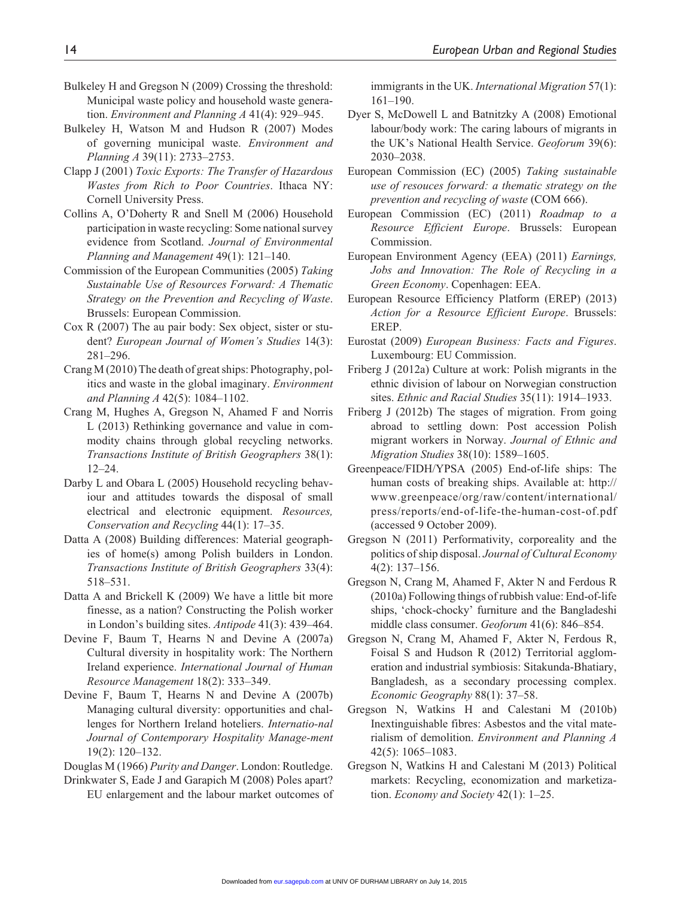- Bulkeley H and Gregson N (2009) Crossing the threshold: Municipal waste policy and household waste generation. *Environment and Planning A* 41(4): 929–945.
- Bulkeley H, Watson M and Hudson R (2007) Modes of governing municipal waste. *Environment and Planning A* 39(11): 2733–2753.
- Clapp J (2001) *Toxic Exports: The Transfer of Hazardous Wastes from Rich to Poor Countries*. Ithaca NY: Cornell University Press.
- Collins A, O'Doherty R and Snell M (2006) Household participation in waste recycling: Some national survey evidence from Scotland. *Journal of Environmental Planning and Management* 49(1): 121–140.
- Commission of the European Communities (2005) *Taking Sustainable Use of Resources Forward: A Thematic Strategy on the Prevention and Recycling of Waste*. Brussels: European Commission.
- Cox R (2007) The au pair body: Sex object, sister or student? *European Journal of Women's Studies* 14(3): 281–296.
- Crang M (2010) The death of great ships: Photography, politics and waste in the global imaginary. *Environment and Planning A* 42(5): 1084–1102.
- Crang M, Hughes A, Gregson N, Ahamed F and Norris L (2013) Rethinking governance and value in commodity chains through global recycling networks. *Transactions Institute of British Geographers* 38(1): 12–24.
- Darby L and Obara L (2005) Household recycling behaviour and attitudes towards the disposal of small electrical and electronic equipment. *Resources, Conservation and Recycling* 44(1): 17–35.
- Datta A (2008) Building differences: Material geographies of home(s) among Polish builders in London. *Transactions Institute of British Geographers* 33(4): 518–531.
- Datta A and Brickell K (2009) We have a little bit more finesse, as a nation? Constructing the Polish worker in London's building sites. *Antipode* 41(3): 439–464.
- Devine F, Baum T, Hearns N and Devine A (2007a) Cultural diversity in hospitality work: The Northern Ireland experience. *International Journal of Human Resource Management* 18(2): 333–349.
- Devine F, Baum T, Hearns N and Devine A (2007b) Managing cultural diversity: opportunities and challenges for Northern Ireland hoteliers. *Internatio-nal Journal of Contemporary Hospitality Manage-ment* 19(2): 120–132.

Douglas M (1966) *Purity and Danger*. London: Routledge.

Drinkwater S, Eade J and Garapich M (2008) Poles apart? EU enlargement and the labour market outcomes of immigrants in the UK. *International Migration* 57(1): 161–190.

- Dyer S, McDowell L and Batnitzky A (2008) Emotional labour/body work: The caring labours of migrants in the UK's National Health Service. *Geoforum* 39(6): 2030–2038.
- European Commission (EC) (2005) *Taking sustainable use of resouces forward: a thematic strategy on the prevention and recycling of waste* (COM 666).
- European Commission (EC) (2011) *Roadmap to a Resource Efficient Europe*. Brussels: European Commission.
- European Environment Agency (EEA) (2011) *Earnings, Jobs and Innovation: The Role of Recycling in a Green Economy*. Copenhagen: EEA.
- European Resource Efficiency Platform (EREP) (2013) *Action for a Resource Efficient Europe*. Brussels: EREP.
- Eurostat (2009) *European Business: Facts and Figures*. Luxembourg: EU Commission.
- Friberg J (2012a) Culture at work: Polish migrants in the ethnic division of labour on Norwegian construction sites. *Ethnic and Racial Studies* 35(11): 1914–1933.
- Friberg J (2012b) The stages of migration. From going abroad to settling down: Post accession Polish migrant workers in Norway. *Journal of Ethnic and Migration Studies* 38(10): 1589–1605.
- Greenpeace/FIDH/YPSA (2005) End-of-life ships: The human costs of breaking ships. Available at: http:// www.greenpeace/org/raw/content/international/ press/reports/end-of-life-the-human-cost-of.pdf (accessed 9 October 2009).
- Gregson N (2011) Performativity, corporeality and the politics of ship disposal. *Journal of Cultural Economy* 4(2): 137–156.
- Gregson N, Crang M, Ahamed F, Akter N and Ferdous R (2010a) Following things of rubbish value: End-of-life ships, 'chock-chocky' furniture and the Bangladeshi middle class consumer. *Geoforum* 41(6): 846–854.
- Gregson N, Crang M, Ahamed F, Akter N, Ferdous R, Foisal S and Hudson R (2012) Territorial agglomeration and industrial symbiosis: Sitakunda-Bhatiary, Bangladesh, as a secondary processing complex. *Economic Geography* 88(1): 37–58.
- Gregson N, Watkins H and Calestani M (2010b) Inextinguishable fibres: Asbestos and the vital materialism of demolition. *Environment and Planning A* 42(5): 1065–1083.
- Gregson N, Watkins H and Calestani M (2013) Political markets: Recycling, economization and marketization. *Economy and Society* 42(1): 1–25.